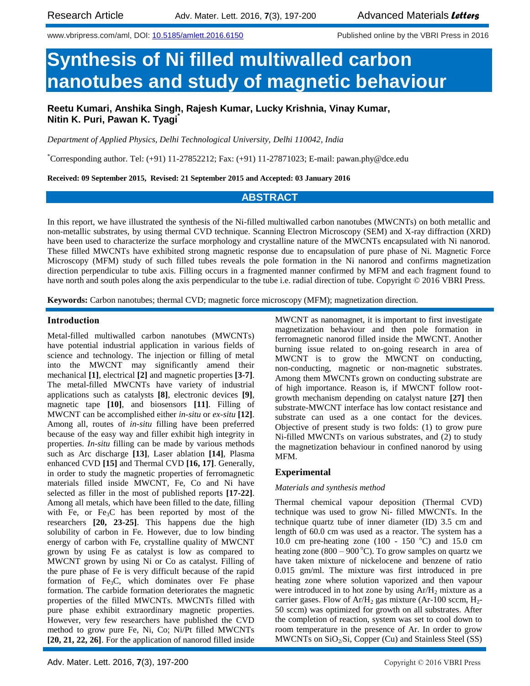www.vbripress.com/aml, DOI: [10.5185/amlett.2016.6150](http://www.dx.doi.org/10.5185/amlett.2016.6150) Published online by the VBRI Press in 2016

# **Synthesis of Ni filled multiwalled carbon nanotubes and study of magnetic behaviour**

**Reetu Kumari, Anshika Singh, Rajesh Kumar, Lucky Krishnia, Vinay Kumar, Nitin K. Puri, Pawan K. Tyagi\***

*Department of Applied Physics, Delhi Technological University, Delhi 110042, India*

\*Corresponding author. Tel: (+91) 11-27852212; Fax: (+91) 11-27871023; E-mail: pawan.phy@dce.edu

**Received: 09 September 2015, Revised: 21 September 2015 and Accepted: 03 January 2016**

## **ABSTRACT**

In this report, we have illustrated the synthesis of the Ni-filled multiwalled carbon nanotubes (MWCNTs) on both metallic and non-metallic substrates, by using thermal CVD technique. Scanning Electron Microscopy (SEM) and X-ray diffraction (XRD) have been used to characterize the surface morphology and crystalline nature of the MWCNTs encapsulated with Ni nanorod. These filled MWCNTs have exhibited strong magnetic response due to encapsulation of pure phase of Ni. Magnetic Force Microscopy (MFM) study of such filled tubes reveals the pole formation in the Ni nanorod and confirms magnetization direction perpendicular to tube axis. Filling occurs in a fragmented manner confirmed by MFM and each fragment found to have north and south poles along the axis perpendicular to the tube i.e. radial direction of tube. Copyright © 2016 VBRI Press.

**Keywords:** Carbon nanotubes; thermal CVD; magnetic force microscopy (MFM); magnetization direction.

#### **Introduction**

Metal-filled multiwalled carbon nanotubes (MWCNTs) have potential industrial application in various fields of science and technology. The injection or filling of metal into the MWCNT may significantly amend their mechanical **[1]**, electrical **[2]** and magnetic properties **[3-7]**. The metal-filled MWCNTs have variety of industrial applications such as catalysts **[8]**, electronic devices **[9]**, magnetic tape **[10]**, and biosensors **[11]**. Filling of MWCNT can be accomplished either *in-situ* or *ex-situ* **[12]**. Among all, routes of *in-situ* filling have been preferred because of the easy way and filler exhibit high integrity in properties. *In-situ* filling can be made by various methods such as Arc discharge **[13]**, Laser ablation **[14]**, Plasma enhanced CVD **[15]** and Thermal CVD **[16, 17]**. Generally, in order to study the magnetic properties of ferromagnetic materials filled inside MWCNT, Fe, Co and Ni have selected as filler in the most of published reports **[17-22]**. Among all metals, which have been filled to the date, filling with Fe, or  $Fe<sub>3</sub>C$  has been reported by most of the researchers **[20, 23-25]**. This happens due the high solubility of carbon in Fe. However, due to low binding energy of carbon with Fe, crystalline quality of MWCNT grown by using Fe as catalyst is low as compared to MWCNT grown by using Ni or Co as catalyst. Filling of the pure phase of Fe is very difficult because of the rapid formation of  $Fe<sub>3</sub>C$ , which dominates over Fe phase formation. The carbide formation deteriorates the magnetic properties of the filled MWCNTs. MWCNTs filled with pure phase exhibit extraordinary magnetic properties. However, very few researchers have published the CVD method to grow pure Fe, Ni, Co; Ni/Pt filled MWCNTs **[20, 21, 22, 26]**. For the application of nanorod filled inside

MWCNT as nanomagnet, it is important to first investigate magnetization behaviour and then pole formation in ferromagnetic nanorod filled inside the MWCNT. Another burning issue related to on-going research in area of MWCNT is to grow the MWCNT on conducting, non-conducting, magnetic or non-magnetic substrates. Among them MWCNTs grown on conducting substrate are of high importance. Reason is, if MWCNT follow rootgrowth mechanism depending on catalyst nature **[27]** then substrate-MWCNT interface has low contact resistance and substrate can used as a one contact for the devices. Objective of present study is two folds: (1) to grow pure Ni-filled MWCNTs on various substrates, and (2) to study the magnetization behaviour in confined nanorod by using MFM.

### **Experimental**

#### *Materials and synthesis method*

Thermal chemical vapour deposition (Thermal CVD) technique was used to grow Ni- filled MWCNTs. In the technique quartz tube of inner diameter (ID) 3.5 cm and length of 60.0 cm was used as a reactor. The system has a 10.0 cm pre-heating zone (100 - 150  $^{\circ}$ C) and 15.0 cm heating zone (800 – 900 °C). To grow samples on quartz we have taken mixture of nickelocene and benzene of ratio 0.015 gm/ml. The mixture was first introduced in pre heating zone where solution vaporized and then vapour were introduced in to hot zone by using  $Ar/H<sub>2</sub>$  mixture as a carrier gases. Flow of  $Ar/H_2$  gas mixture (Ar-100 sccm,  $H_2$ -50 sccm) was optimized for growth on all substrates. After the completion of reaction, system was set to cool down to room temperature in the presence of Ar. In order to grow MWCNTs on  $SiO<sub>2</sub>/Si$ , Copper (Cu) and Stainless Steel (SS)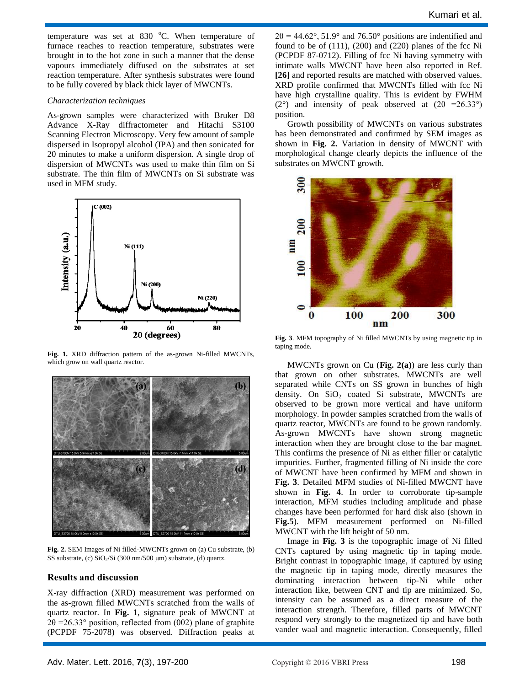Kumari et al.

temperature was set at  $830\degree$ C. When temperature of furnace reaches to reaction temperature, substrates were brought in to the hot zone in such a manner that the dense vapours immediately diffused on the substrates at set reaction temperature. After synthesis substrates were found to be fully covered by black thick layer of MWCNTs.

#### *Characterization techniques*

As-grown samples were characterized with Bruker D8 Advance X-Ray diffractometer and Hitachi S3100 Scanning Electron Microscopy. Very few amount of sample dispersed in Isopropyl alcohol (IPA) and then sonicated for 20 minutes to make a uniform dispersion. A single drop of dispersion of MWCNTs was used to make thin film on Si substrate. The thin film of MWCNTs on Si substrate was used in MFM study.



**Fig. 1.** XRD diffraction pattern of the as-grown Ni-filled MWCNTs, which grow on wall quartz reactor.



**Fig. 2.** SEM Images of Ni filled-MWCNTs grown on (a) Cu substrate, (b) SS substrate, (c) SiO<sub>2</sub>/Si (300 nm/500 µm) substrate, (d) quartz.

#### **Results and discussion**

X-ray diffraction (XRD) measurement was performed on the as-grown filled MWCNTs scratched from the walls of quartz reactor. In **Fig. 1**, signature peak of MWCNT at  $2\theta = 26.33^{\circ}$  position, reflected from (002) plane of graphite (PCPDF 75-2078) was observed. Diffraction peaks at

 $2\theta = 44.62^{\circ}, 51.9^{\circ}$  and 76.50° positions are indentified and found to be of  $(111)$ ,  $(200)$  and  $(220)$  planes of the fcc Ni (PCPDF 87-0712). Filling of fcc Ni having symmetry with intimate walls MWCNT have been also reported in Ref. **[26]** and reported results are matched with observed values. XRD profile confirmed that MWCNTs filled with fcc Ni have high crystalline quality. This is evident by FWHM (2°) and intensity of peak observed at  $(2\theta = 26.33^{\circ})$ position.

Growth possibility of MWCNTs on various substrates has been demonstrated and confirmed by SEM images as shown in **Fig. 2.** Variation in density of MWCNT with morphological change clearly depicts the influence of the substrates on MWCNT growth.



**Fig. 3**. MFM topography of Ni filled MWCNTs by using magnetic tip in taping mode.

MWCNTs grown on Cu (**Fig. 2(a)**) are less curly than that grown on other substrates. MWCNTs are well separated while CNTs on SS grown in bunches of high density. On  $SiO<sub>2</sub>$  coated Si substrate, MWCNTs are observed to be grown more vertical and have uniform morphology. In powder samples scratched from the walls of quartz reactor, MWCNTs are found to be grown randomly. As-grown MWCNTs have shown strong magnetic interaction when they are brought close to the bar magnet. This confirms the presence of Ni as either filler or catalytic impurities. Further, fragmented filling of Ni inside the core of MWCNT have been confirmed by MFM and shown in **Fig. 3**. Detailed MFM studies of Ni-filled MWCNT have shown in **Fig. 4**. In order to corroborate tip-sample interaction, MFM studies including amplitude and phase changes have been performed for hard disk also (shown in **Fig.5**). MFM measurement performed on Ni-filled MWCNT with the lift height of 50 nm.

Image in **Fig. 3** is the topographic image of Ni filled CNTs captured by using magnetic tip in taping mode. Bright contrast in topographic image, if captured by using the magnetic tip in taping mode, directly measures the dominating interaction between tip-Ni while other interaction like, between CNT and tip are minimized. So, intensity can be assumed as a direct measure of the interaction strength. Therefore, filled parts of MWCNT respond very strongly to the magnetized tip and have both vander waal and magnetic interaction. Consequently, filled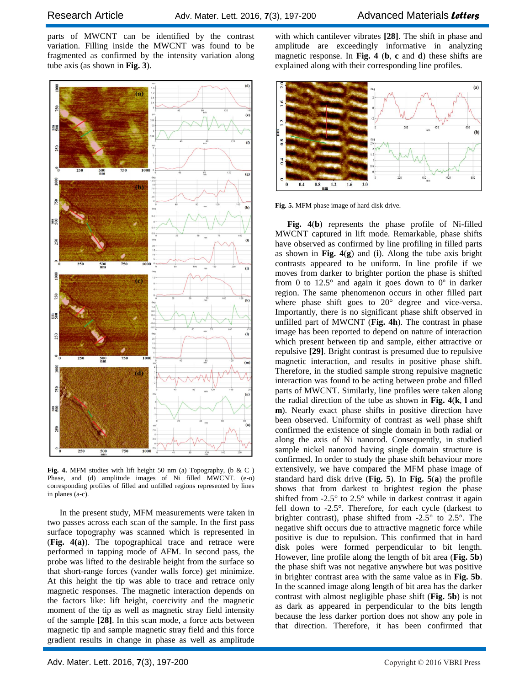parts of MWCNT can be identified by the contrast variation. Filling inside the MWCNT was found to be fragmented as confirmed by the intensity variation along tube axis (as shown in **Fig. 3**).



**Fig. 4.** MFM studies with lift height 50 nm (a) Topography, (b & C ) Phase, and (d) amplitude images of Ni filled MWCNT. (e-o) corresponding profiles of filled and unfilled regions represented by lines in planes (a-c).

In the present study, MFM measurements were taken in two passes across each scan of the sample. In the first pass surface topography was scanned which is represented in (**Fig. 4(a)**). The topographical trace and retrace were performed in tapping mode of AFM. In second pass, the probe was lifted to the desirable height from the surface so that short-range forces (vander walls force) get minimize. At this height the tip was able to trace and retrace only magnetic responses. The magnetic interaction depends on the factors like: lift height, coercivity and the magnetic moment of the tip as well as magnetic stray field intensity of the sample **[28]**. In this scan mode, a force acts between magnetic tip and sample magnetic stray field and this force gradient results in change in phase as well as amplitude

with which cantilever vibrates **[28]**. The shift in phase and amplitude are exceedingly informative in analyzing magnetic response. In **Fig. 4** (**b**, **c** and **d**) these shifts are explained along with their corresponding line profiles.



**Fig. 5.** MFM phase image of hard disk drive.

**Fig. 4**(**b**) represents the phase profile of Ni-filled MWCNT captured in lift mode. Remarkable, phase shifts have observed as confirmed by line profiling in filled parts as shown in **Fig. 4**(**g**) and (**i**). Along the tube axis bright contrasts appeared to be uniform. In line profile if we moves from darker to brighter portion the phase is shifted from 0 to  $12.5^{\circ}$  and again it goes down to  $0^{\circ}$  in darker region. The same phenomenon occurs in other filled part where phase shift goes to 20° degree and vice-versa. Importantly, there is no significant phase shift observed in unfilled part of MWCNT (**Fig. 4h**). The contrast in phase image has been reported to depend on nature of interaction which present between tip and sample, either attractive or repulsive **[29]**. Bright contrast is presumed due to repulsive magnetic interaction, and results in positive phase shift. Therefore, in the studied sample strong repulsive magnetic interaction was found to be acting between probe and filled parts of MWCNT. Similarly, line profiles were taken along the radial direction of the tube as shown in **Fig. 4**(**k**, **l** and **m**). Nearly exact phase shifts in positive direction have been observed. Uniformity of contrast as well phase shift confirmed the existence of single domain in both radial or along the axis of Ni nanorod. Consequently, in studied sample nickel nanorod having single domain structure is confirmed. In order to study the phase shift behaviour more extensively, we have compared the MFM phase image of standard hard disk drive (**Fig. 5**). In **Fig. 5**(**a**) the profile shows that from darkest to brightest region the phase shifted from  $-2.5^{\circ}$  to  $2.5^{\circ}$  while in darkest contrast it again fell down to -2.5°. Therefore, for each cycle (darkest to brighter contrast), phase shifted from -2.5° to 2.5°. The negative shift occurs due to attractive magnetic force while positive is due to repulsion. This confirmed that in hard disk poles were formed perpendicular to bit length. However, line profile along the length of bit area (**Fig. 5b**) the phase shift was not negative anywhere but was positive in brighter contrast area with the same value as in **Fig. 5b**. In the scanned image along length of bit area has the darker contrast with almost negligible phase shift (**Fig. 5b**) is not as dark as appeared in perpendicular to the bits length because the less darker portion does not show any pole in that direction. Therefore, it has been confirmed that